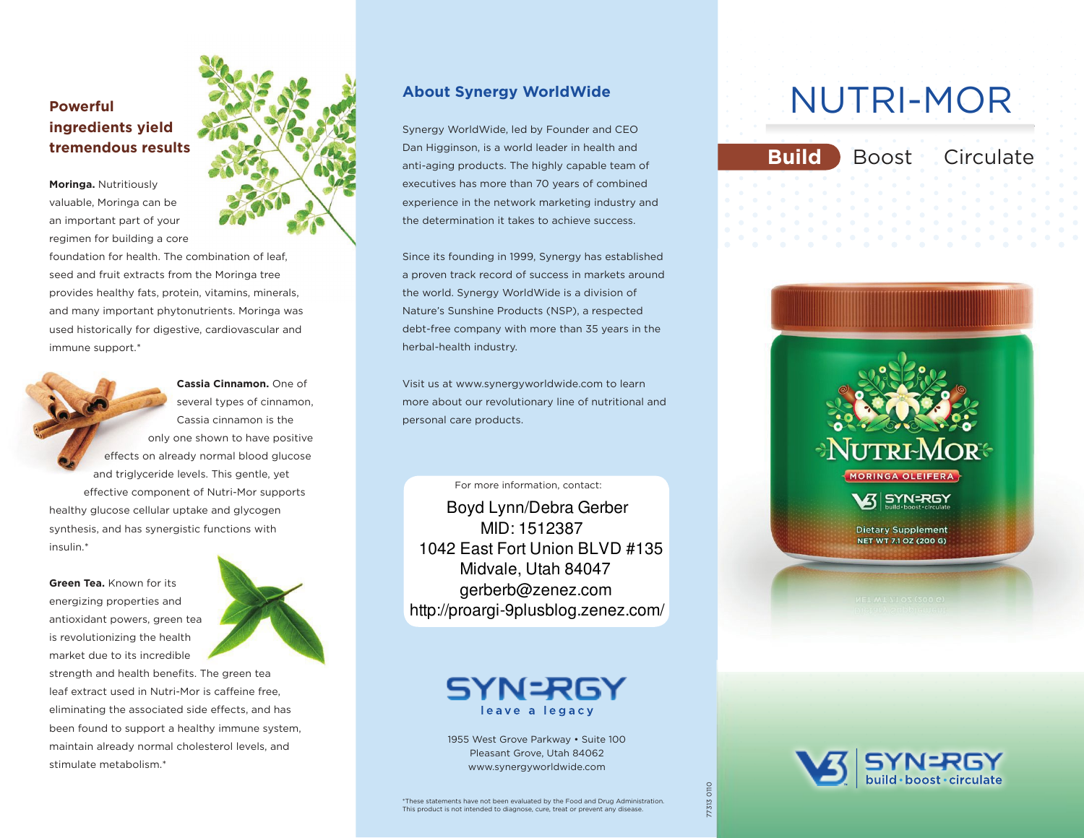## **ingredients yield tremendous results**

**Moringa.** Nutritiously valuable, moringa can be an important part of your regimen for building a core

foundation for health. The combination of leaf. seed and fruit extracts from the Moringa tree provides healthy fats, protein, vitamins, minerals, and many important phytonutrients. moringa was used historically for digestive, cardiovascular and immune support.\*

**Cassia Cinnamon.** one of several types of cinnamon, Cassia cinnamon is the only one shown to have positive effects on already normal blood glucose and triglyceride levels. This gentle, yet effective component of Nutri-Mor supports healthy glucose cellular uptake and glycogen

synthesis, and has synergistic functions with insulin.\*

**Green Tea.** Known for its energizing properties and antioxidant powers, green tea is revolutionizing the health market due to its incredible



strength and health benefits. The green tea leaf extract used in Nutri-Mor is caffeine free. eliminating the associated side effects, and has been found to support a healthy immune system, maintain already normal cholesterol levels, and stimulate metabolism.\*



#### **About Synergy WorldWide**

Synergy WorldWide, led by Founder and CEo Dan Higginson, is a world leader in health and anti-aging products. The highly capable team of executives has more than 70 years of combined experience in the network marketing industry and the determination it takes to achieve success.

Since its founding in 1999, Synergy has established a proven track record of success in markets around the world. Synergy WorldWide is a division of nature's Sunshine Products (nSP), a respected debt-free company with more than 35 years in the herbal-health industry.

Visit us at www.synergyworldwide.com to learn more about our revolutionary line of nutritional and personal care products.

For more information, contact:

Boyd Lynn/Debra Gerber MID: 1512387 1042 East Fort Union BLVD #135 Midvale, Utah 84047 gerberb@zenez.com http://proargi-9plusblog.zenez.com/

> SYN=RGY leave a legacy

1955 West Grove Parkway • Suite 100 Pleasant Grove, Utah 84062 www.synergyworldwide.com

# Powerful **Powerful** MUTRI-MOR

**Build** Boost Circulate